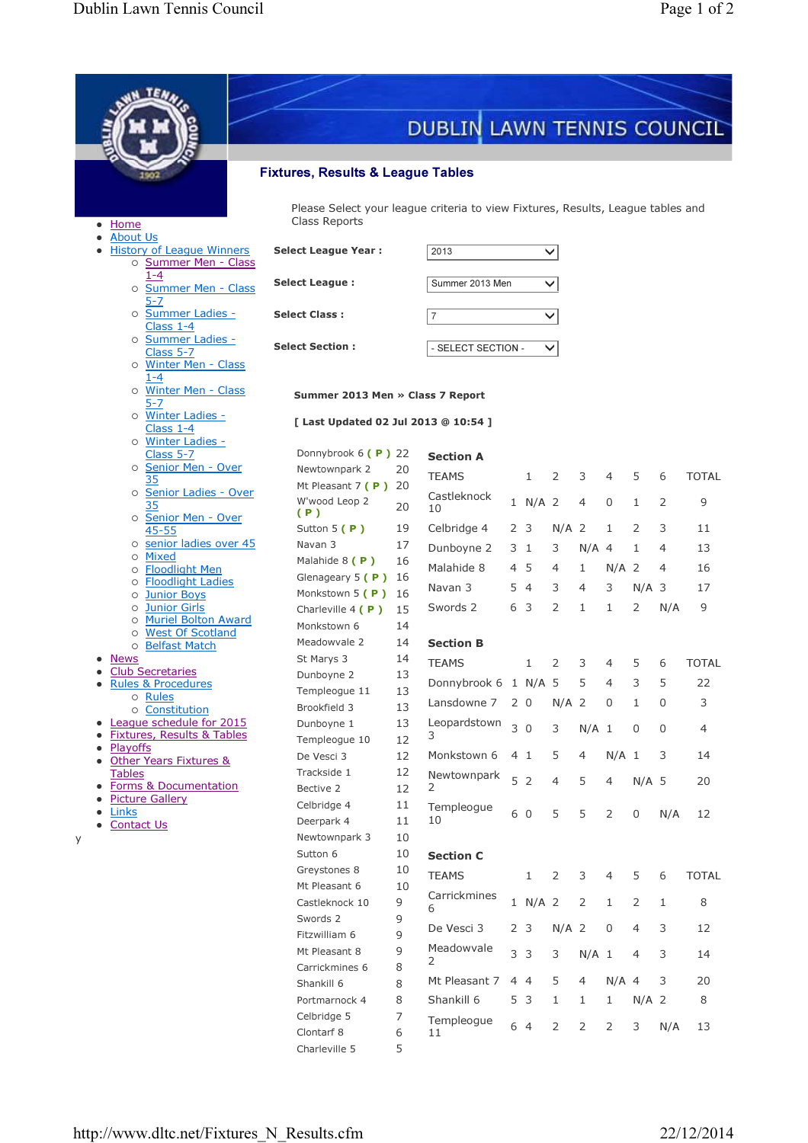|                                                          |                                                                                                  |          | DUBLIN LAWN TENNIS COUNCIL |  |                    |                |                |                |                |     |                |  |  |
|----------------------------------------------------------|--------------------------------------------------------------------------------------------------|----------|----------------------------|--|--------------------|----------------|----------------|----------------|----------------|-----|----------------|--|--|
|                                                          |                                                                                                  |          |                            |  |                    |                |                |                |                |     |                |  |  |
| <b>Fixtures, Results &amp; League Tables</b>             |                                                                                                  |          |                            |  |                    |                |                |                |                |     |                |  |  |
| $\bullet$ Home<br><b>About Us</b>                        | Please Select your league criteria to view Fixtures, Results, League tables and<br>Class Reports |          |                            |  |                    |                |                |                |                |     |                |  |  |
| <b>History of League Winners</b><br>o Summer Men - Class | <b>Select League Year:</b>                                                                       |          | 2013                       |  |                    | $\checkmark$   |                |                |                |     |                |  |  |
| $1 - 4$<br>o Summer Men - Class                          | <b>Select League:</b>                                                                            |          | Summer 2013 Men            |  |                    | $\checkmark$   |                |                |                |     |                |  |  |
| 5-7<br>o Summer Ladies -<br>Class $1-4$                  | <b>Select Class:</b>                                                                             |          | $\overline{7}$             |  |                    | $\checkmark$   |                |                |                |     |                |  |  |
| o Summer Ladies -<br>Class 5-7                           | <b>Select Section:</b>                                                                           |          |                            |  | - SELECT SECTION - | $\checkmark$   |                |                |                |     |                |  |  |
| o Winter Men - Class<br>$1 - 4$                          |                                                                                                  |          |                            |  |                    |                |                |                |                |     |                |  |  |
| o Winter Men - Class<br>5-7                              | Summer 2013 Men » Class 7 Report                                                                 |          |                            |  |                    |                |                |                |                |     |                |  |  |
| o Winter Ladies -<br>Class 1-4                           | [ Last Updated 02 Jul 2013 @ 10:54 ]                                                             |          |                            |  |                    |                |                |                |                |     |                |  |  |
| o Winter Ladies -<br>Class 5-7                           | Donnybrook $6(P)$ 22                                                                             |          | <b>Section A</b>           |  |                    |                |                |                |                |     |                |  |  |
| o Senior Men - Over                                      | Newtownpark 2                                                                                    | 20       | <b>TEAMS</b>               |  | $\mathbf{1}$       | 2              | 3              | 4              | 5              | 6   | <b>TOTAL</b>   |  |  |
| o Senior Ladies - Over                                   | Mt Pleasant 7 (P) 20                                                                             |          | Castleknock                |  |                    |                |                |                |                |     |                |  |  |
| 35<br>o Senior Men - Over                                | W'wood Leop 2<br>(P)                                                                             | 20       | 10                         |  | 1 N/A 2            |                | 4              | $\Omega$       | 1              | 2   | 9              |  |  |
| 45-55                                                    | Sutton $5(P)$                                                                                    | 19       | Celbridge 4                |  | 2 <sub>3</sub>     | $N/A$ 2        |                | 1              | 2              | 3   | 11             |  |  |
| o senior ladies over 45<br>o Mixed                       | Navan 3                                                                                          | 17       | Dunboyne 2                 |  | 3 1                | 3              | $N/A$ 4        |                | 1              | 4   | 13             |  |  |
| o Floodlight Men                                         | Malahide 8 (P)                                                                                   | 16       | Malahide 8                 |  | 4 5                | 4              | 1              | $N/A$ 2        |                | 4   | 16             |  |  |
| o <b>Floodlight Ladies</b><br>o Junior Boys              | Glenageary $5(P)$ 16<br>Monkstown 5 (P)                                                          | - 16     | Navan <sub>3</sub>         |  | 54                 | 3              | 4              | 3              | $N/A$ 3        |     | 17             |  |  |
| o Junior Girls                                           | Charleville $4(P)$                                                                               | 15       | Swords 2                   |  | 6 3                | 2              | 1              | 1              | 2              | N/A | 9              |  |  |
| o Muriel Bolton Award<br><b>West Of Scotland</b>         | Monkstown 6                                                                                      | 14       |                            |  |                    |                |                |                |                |     |                |  |  |
| $\circ$<br>o Belfast Match                               | Meadowvale 2                                                                                     | 14       | <b>Section B</b>           |  |                    |                |                |                |                |     |                |  |  |
| <b>News</b>                                              | St Marys 3                                                                                       | 14       | <b>TEAMS</b>               |  | $\mathbf{1}$       | 2              | 3              | 4              | 5              | 6   | <b>TOTAL</b>   |  |  |
| <b>Club Secretaries</b><br><b>Rules &amp; Procedures</b> | Dunboyne 2                                                                                       | 13       | Donnybrook 6 1 N/A 5       |  |                    |                | 5              | 4              | 3              | 5   | 22             |  |  |
| o Rules                                                  | Templeogue 11                                                                                    | 13       | Lansdowne 7                |  | 2 <sub>0</sub>     | $N/A$ 2        |                | 0              | 1              | 0   | 3              |  |  |
| o Constitution<br>League schedule for 2015               | Brookfield 3<br>Dunboyne 1                                                                       | 13<br>13 | Leopardstown               |  |                    |                |                |                |                |     |                |  |  |
| Fixtures, Results & Tables                               | Templeogue 10                                                                                    | 12       | 3                          |  | 30                 | 3              | $N/A$ 1        |                | $\mathbf 0$    | 0   | $\overline{4}$ |  |  |
| Playoffs<br>Other Years Fixtures &                       | De Vesci 3                                                                                       | 12       | Monkstown 6                |  | 41                 | 5              | 4              | $N/A$ 1        |                | 3   | 14             |  |  |
| <b>Tables</b>                                            | Trackside 1                                                                                      | 12       | Newtownpark                |  | 5 <sub>2</sub>     | $\overline{4}$ | 5              | $\overline{4}$ | $N/A$ 5        |     | 20             |  |  |
| Forms & Documentation<br><b>Picture Gallery</b>          | Bective 2                                                                                        | 12       | 2                          |  |                    |                |                |                |                |     |                |  |  |
| Links                                                    | Celbridge 4                                                                                      | 11       | Templeogue                 |  | 6 0                | 5              | 5              | $\overline{2}$ | $\mathsf 0$    | N/A | 12             |  |  |
| <b>Contact Us</b><br>$\bullet$                           | Deerpark 4                                                                                       | 11       | 10                         |  |                    |                |                |                |                |     |                |  |  |
| У                                                        | Newtownpark 3<br>Sutton 6                                                                        | 10<br>10 | <b>Section C</b>           |  |                    |                |                |                |                |     |                |  |  |
|                                                          | Greystones 8                                                                                     | 10       |                            |  |                    |                |                |                |                |     |                |  |  |
|                                                          | Mt Pleasant 6                                                                                    | 10       | <b>TEAMS</b>               |  | 1                  | 2              | 3              | 4              | 5              | 6   | <b>TOTAL</b>   |  |  |
|                                                          | Castleknock 10                                                                                   | 9        | Carrickmines<br>6          |  | 1 N/A 2            |                | 2              | 1              | 2              | 1   | 8              |  |  |
|                                                          | Swords 2                                                                                         | 9        | De Vesci 3                 |  | 2 <sub>3</sub>     | $N/A$ 2        |                | $\mathbf 0$    | $\overline{4}$ | 3   | 12             |  |  |
|                                                          | Fitzwilliam 6                                                                                    | 9        | Meadowvale                 |  |                    |                |                |                |                |     |                |  |  |
|                                                          | Mt Pleasant 8<br>Carrickmines 6                                                                  | 9<br>8   | 2                          |  | 3 <sup>3</sup>     | 3              | $N/A$ 1        |                | 4              | 3   | 14             |  |  |
|                                                          | Shankill 6                                                                                       | 8        | Mt Pleasant 7              |  | 44                 | 5              | 4              | $N/A$ 4        |                | 3   | 20             |  |  |
|                                                          | Portmarnock 4                                                                                    | 8        | Shankill 6                 |  | 5 3                | 1              | 1              | 1              | $N/A$ 2        |     | 8              |  |  |
|                                                          | Celbridge 5                                                                                      | 7        | Templeogue                 |  |                    |                |                |                |                |     |                |  |  |
|                                                          | Clontarf 8                                                                                       | 6        | 11                         |  | 6 4                | 2              | $\overline{2}$ | $\overline{2}$ | 3              | N/A | 13             |  |  |
|                                                          | Charleville 5                                                                                    | 5        |                            |  |                    |                |                |                |                |     |                |  |  |